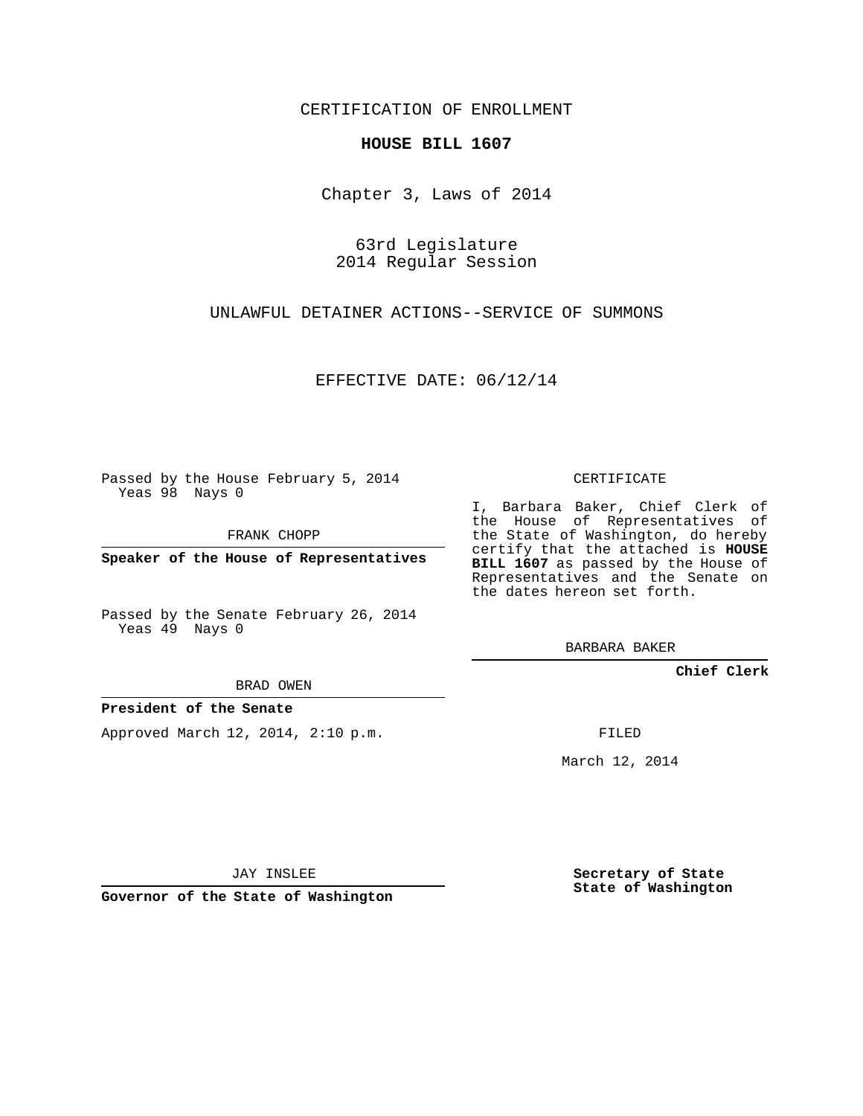CERTIFICATION OF ENROLLMENT

## **HOUSE BILL 1607**

Chapter 3, Laws of 2014

63rd Legislature 2014 Regular Session

UNLAWFUL DETAINER ACTIONS--SERVICE OF SUMMONS

EFFECTIVE DATE: 06/12/14

Passed by the House February 5, 2014 Yeas 98 Nays 0

FRANK CHOPP

**Speaker of the House of Representatives**

Passed by the Senate February 26, 2014 Yeas 49 Nays 0

BRAD OWEN

## **President of the Senate**

Approved March 12, 2014, 2:10 p.m.

CERTIFICATE

I, Barbara Baker, Chief Clerk of the House of Representatives of the State of Washington, do hereby certify that the attached is **HOUSE BILL 1607** as passed by the House of Representatives and the Senate on the dates hereon set forth.

BARBARA BAKER

**Chief Clerk**

FILED

March 12, 2014

JAY INSLEE

**Governor of the State of Washington**

**Secretary of State State of Washington**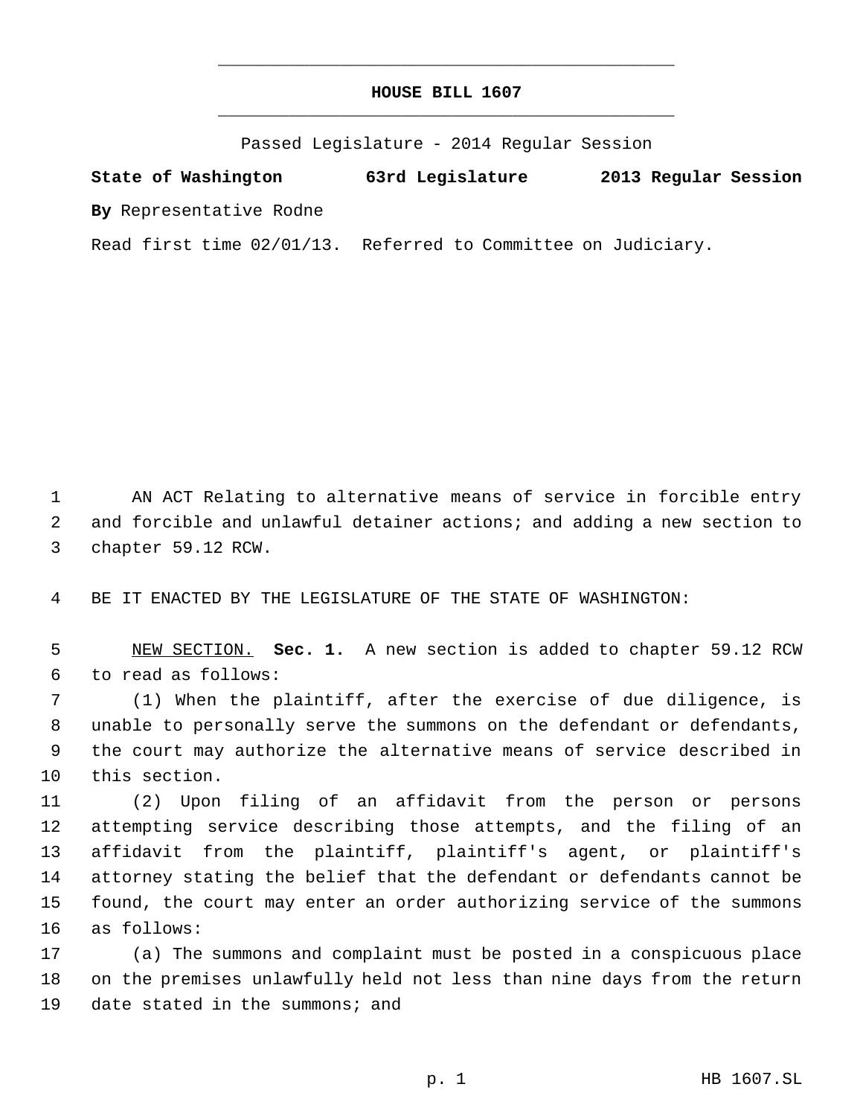## **HOUSE BILL 1607** \_\_\_\_\_\_\_\_\_\_\_\_\_\_\_\_\_\_\_\_\_\_\_\_\_\_\_\_\_\_\_\_\_\_\_\_\_\_\_\_\_\_\_\_\_

\_\_\_\_\_\_\_\_\_\_\_\_\_\_\_\_\_\_\_\_\_\_\_\_\_\_\_\_\_\_\_\_\_\_\_\_\_\_\_\_\_\_\_\_\_

Passed Legislature - 2014 Regular Session

**State of Washington 63rd Legislature 2013 Regular Session By** Representative Rodne

Read first time 02/01/13. Referred to Committee on Judiciary.

 AN ACT Relating to alternative means of service in forcible entry and forcible and unlawful detainer actions; and adding a new section to chapter 59.12 RCW.

BE IT ENACTED BY THE LEGISLATURE OF THE STATE OF WASHINGTON:

 NEW SECTION. **Sec. 1.** A new section is added to chapter 59.12 RCW to read as follows:

 (1) When the plaintiff, after the exercise of due diligence, is unable to personally serve the summons on the defendant or defendants, the court may authorize the alternative means of service described in this section.

 (2) Upon filing of an affidavit from the person or persons attempting service describing those attempts, and the filing of an affidavit from the plaintiff, plaintiff's agent, or plaintiff's attorney stating the belief that the defendant or defendants cannot be found, the court may enter an order authorizing service of the summons as follows:

 (a) The summons and complaint must be posted in a conspicuous place on the premises unlawfully held not less than nine days from the return 19 date stated in the summons; and